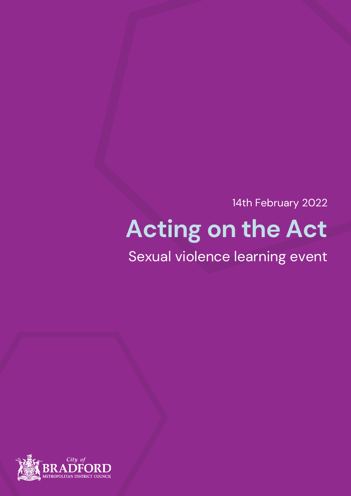14th February 2022

# **Acting on the Act**

Sexual violence learning event

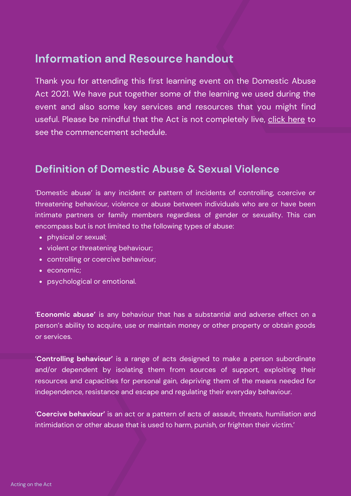## **Information and Resource handout**

Thank you for attending this first learning event on the Domestic Abuse Act 2021. We have put together some of the learning we used during the event and also some key services and resources that you might find useful. Please be mindful that the Act is not completely live, [click](https://www.gov.uk/government/publications/domestic-abuse-act-2021-commencement-schedule/domestic-abuse-act-2021-commencement-schedule) here to see the commencement schedule.

#### **Definition of Domestic Abuse & Sexual Violence**

'Domestic abuse' is any incident or pattern of incidents of controlling, coercive or threatening behaviour, violence or abuse between individuals who are or have been intimate partners or family members regardless of gender or sexuality. This can encompass but is not limited to the following types of abuse:

- physical or sexual;
- violent or threatening behaviour;
- controlling or coercive behaviour;
- economic;
- psychological or emotional.

'**Economic abuse'** is any behaviour that has a substantial and adverse effect on a person's ability to acquire, use or maintain money or other property or obtain goods or services.

'**Controlling behaviour'** is a range of acts designed to make a person subordinate and/or dependent by isolating them from sources of support, exploiting their resources and capacities for personal gain, depriving them of the means needed for independence, resistance and escape and regulating their everyday behaviour.

'**Coercive behaviour'** is an act or a pattern of acts of assault, threats, humiliation and intimidation or other abuse that is used to harm, punish, or frighten their victim.'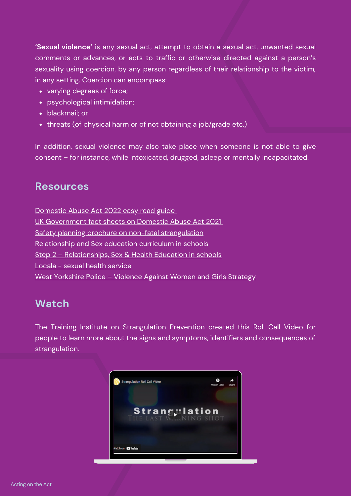**'Sexual violence'** is any sexual act, attempt to obtain a sexual act, unwanted sexual comments or advances, or acts to traffic or otherwise directed against a person's sexuality using coercion, by any person regardless of their relationship to the victim, in any setting. Coercion can encompass:

- varying degrees of force;
- psychological intimidation;
- blackmail; or
- threats (of physical harm or of not obtaining a job/grade etc.)

In addition, sexual violence may also take place when someone is not able to give consent – for instance, while intoxicated, drugged, asleep or mentally incapacitated.

#### **Resources**

[Domestic](https://assets.publishing.service.gov.uk/government/uploads/system/uploads/attachment_data/file/1007808/domestic-abuse-easy-read-final.pdf) Abuse Act 2022 easy read guide UK [Government](https://www.gov.uk/government/publications/domestic-abuse-bill-2020-factsheets) fact sheets on Domestic Abuse Act 2021 Safety planning brochure on non-fatal [strangulation](https://www.familyjusticecenter.org/resources/2021-safety-planning-brochure/) [Relationship](https://www.gov.uk/government/publications/relationships-education-relationships-and-sex-education-rse-and-health-education) and Sex education curriculum in schools Step 2 – [Relationships,](http://www.step2.org.uk/contact) Sex & Health Education in schools Locala - sexual health [service](https://www.locala.org.uk/services/sexual-health) West [Yorkshire](https://www.youtube.com/watch?v=L-cSxNSreSo) Police - Violence Against Women and Girls Strategy

### **Watch**

The Training Institute on Strangulation Prevention created this Roll Call Video for people to learn more about the signs and symptoms, identifiers and consequences of strangulation.

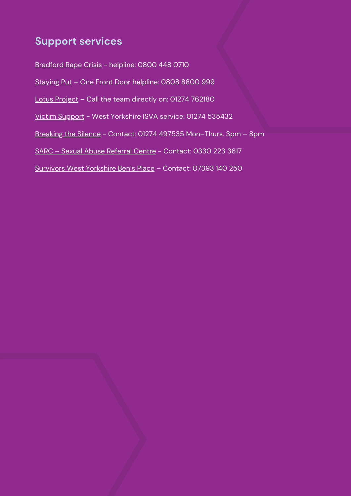## **Support services**

[Bradford](https://bradfordrapecrisis.org.uk/) Rape Crisis - helpline: 0800 448 0710

- [Staying](http://stayingput.org.uk/) Put One Front Door helpline: 0808 8800 999
- Lotus [Project](https://thebridgeproject.org.uk/services/the-lotus-project/) Call the team directly on: 01274 762180
- Victim [Support](https://www.victimsupport.org.uk/resources/west-yorkshire/) West Yorkshire ISVA service: 01274 535432
- [Breaking](http://www.breaking-the-silence.org.uk/) the Silence Contact: 01274 497535 Mon–Thurs. 3pm 8pm
- SARC Sexual Abuse [Referral](http://www.hazlehurstcentre.org/) Centre Contact: 0330 223 3617
- Survivors West [Yorkshire](https://survivorswestyorkshire.org.uk/bens-place/online-services/) Ben's Place Contact: 07393 140 250